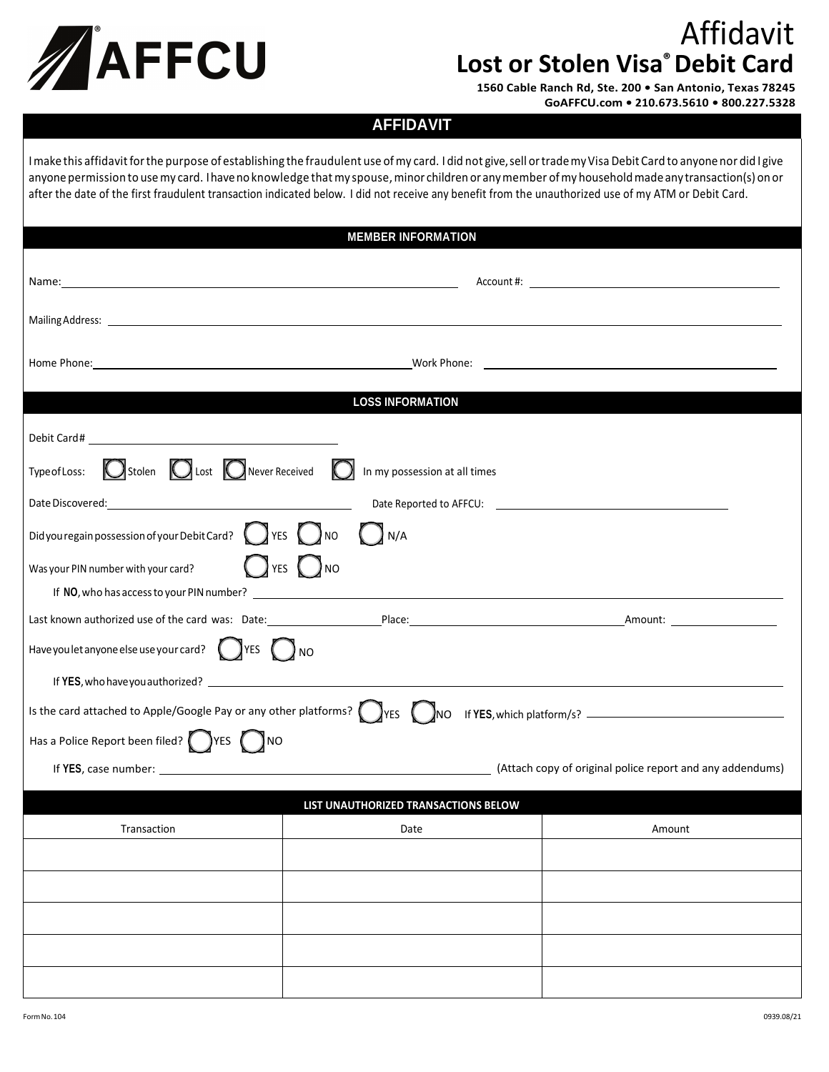

## Affidavit **Lost or Stolen Visa® Debit Card**

**1560 Cable Ranch Rd, Ste. 200 • San Antonio, Texas 78245 GoAFFCU.com • 210.673.5610 • 800.227.5328**

## **AFFIDAVIT**

I make this affidavit for the purpose of establishing the fraudulent use of my card. I did not give, sell or trade my Visa Debit Card to anyone nor did I give anyone permission to use my card. I have no knowledge that my spouse, minor children or any member of my household made any transaction(s) on or after the date of the first fraudulent transaction indicated below. I did not receive any benefit from the unauthorized use of my ATM or Debit Card.

| <b>MEMBER INFORMATION</b>                                                                                             |      |        |  |
|-----------------------------------------------------------------------------------------------------------------------|------|--------|--|
|                                                                                                                       |      |        |  |
|                                                                                                                       |      |        |  |
|                                                                                                                       |      |        |  |
| <b>LOSS INFORMATION</b>                                                                                               |      |        |  |
|                                                                                                                       |      |        |  |
| Type of Loss: $\bigcirc$ Stolen $\bigcirc$ Lost $\bigcirc$ Never Received $\bigcirc$<br>In my possession at all times |      |        |  |
|                                                                                                                       |      |        |  |
| Didyou regain possession of your Debit Card? $\bigcirc$ YES $\bigcirc$ NO<br>$\bigcup N/A$                            |      |        |  |
| $\bigcap$ YES $\bigcup$ NO<br>Was your PIN number with your card?                                                     |      |        |  |
|                                                                                                                       |      |        |  |
|                                                                                                                       |      |        |  |
| Have you let anyone else use your card? $\bigcirc$ YES $\bigcirc$ NO                                                  |      |        |  |
|                                                                                                                       |      |        |  |
| Is the card attached to Apple/Google Pay or any other platforms? VES VES ONO                                          |      |        |  |
| Has a Police Report been filed? VES NO                                                                                |      |        |  |
|                                                                                                                       |      |        |  |
| LIST UNAUTHORIZED TRANSACTIONS BELOW                                                                                  |      |        |  |
| Transaction                                                                                                           | Date | Amount |  |
|                                                                                                                       |      |        |  |
|                                                                                                                       |      |        |  |
|                                                                                                                       |      |        |  |
|                                                                                                                       |      |        |  |
|                                                                                                                       |      |        |  |
|                                                                                                                       |      |        |  |